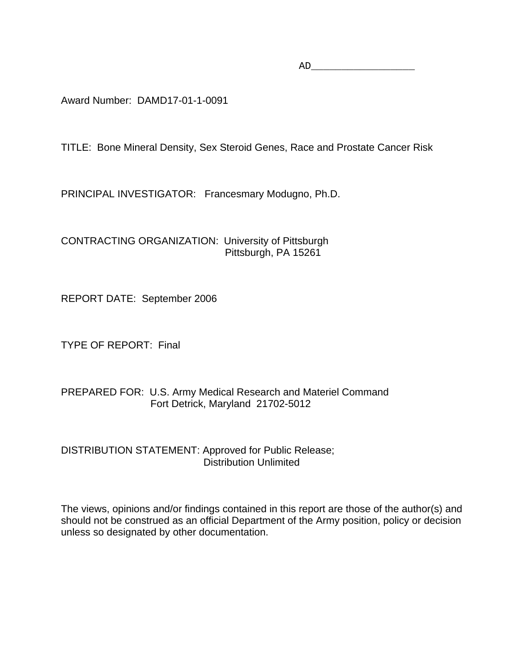AD\_\_\_\_\_\_\_\_\_\_\_\_\_\_\_\_\_

Award Number: DAMD17-01-1-0091

TITLE: Bone Mineral Density, Sex Steroid Genes, Race and Prostate Cancer Risk

PRINCIPAL INVESTIGATOR: Francesmary Modugno, Ph.D.

CONTRACTING ORGANIZATION: University of Pittsburgh Pittsburgh, PA 15261

REPORT DATE: September 2006

TYPE OF REPORT: Final

## PREPARED FOR: U.S. Army Medical Research and Materiel Command Fort Detrick, Maryland 21702-5012

DISTRIBUTION STATEMENT: Approved for Public Release; Distribution Unlimited

The views, opinions and/or findings contained in this report are those of the author(s) and should not be construed as an official Department of the Army position, policy or decision unless so designated by other documentation.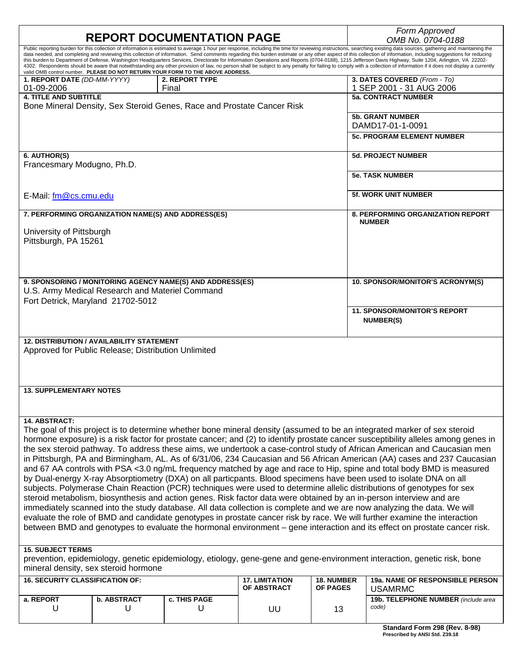|                                                                                                                                                                                                                                                                                                                                                                                                                                                                                                                                                                                                                                                                                                                                                                                                                                                                                              |                                                                                                         | <b>REPORT DOCUMENTATION PAGE</b>                                               |                       |                            | Form Approved<br>OMB No. 0704-0188                                                                                                                                                                                                                                                                                                                                                                                                                                                                                                                                                                                                                                                                                                                                                                                                                                            |  |  |  |
|----------------------------------------------------------------------------------------------------------------------------------------------------------------------------------------------------------------------------------------------------------------------------------------------------------------------------------------------------------------------------------------------------------------------------------------------------------------------------------------------------------------------------------------------------------------------------------------------------------------------------------------------------------------------------------------------------------------------------------------------------------------------------------------------------------------------------------------------------------------------------------------------|---------------------------------------------------------------------------------------------------------|--------------------------------------------------------------------------------|-----------------------|----------------------------|-------------------------------------------------------------------------------------------------------------------------------------------------------------------------------------------------------------------------------------------------------------------------------------------------------------------------------------------------------------------------------------------------------------------------------------------------------------------------------------------------------------------------------------------------------------------------------------------------------------------------------------------------------------------------------------------------------------------------------------------------------------------------------------------------------------------------------------------------------------------------------|--|--|--|
|                                                                                                                                                                                                                                                                                                                                                                                                                                                                                                                                                                                                                                                                                                                                                                                                                                                                                              |                                                                                                         | valid OMB control number. PLEASE DO NOT RETURN YOUR FORM TO THE ABOVE ADDRESS. |                       |                            | Public reporting burden for this collection of information is estimated to average 1 hour per response, including the time for reviewing instructions, searching existing data sources, gathering and maintaining the<br>data needed, and completing and reviewing this collection of information. Send comments regarding this burden estimate or any other aspect of this collection of information, including suggestions for reducing<br>this burden to Department of Defense, Washington Headquarters Services, Directorate for Information Operations and Reports (0704-0188), 1215 Jefferson Davis Highway, Suite 1204, Arlington, VA 22202-<br>4302. Respondents should be aware that notwithstanding any other provision of law, no person shall be subject to any penalty for failing to comply with a collection of information if it does not display a currently |  |  |  |
| 1. REPORT DATE (DD-MM-YYYY)<br>01-09-2006                                                                                                                                                                                                                                                                                                                                                                                                                                                                                                                                                                                                                                                                                                                                                                                                                                                    |                                                                                                         | <b>2. REPORT TYPE</b><br>Final                                                 |                       |                            | 3. DATES COVERED (From - To)<br>1 SEP 2001 - 31 AUG 2006                                                                                                                                                                                                                                                                                                                                                                                                                                                                                                                                                                                                                                                                                                                                                                                                                      |  |  |  |
| <b>4. TITLE AND SUBTITLE</b>                                                                                                                                                                                                                                                                                                                                                                                                                                                                                                                                                                                                                                                                                                                                                                                                                                                                 |                                                                                                         | Bone Mineral Density, Sex Steroid Genes, Race and Prostate Cancer Risk         |                       | <b>5a. CONTRACT NUMBER</b> |                                                                                                                                                                                                                                                                                                                                                                                                                                                                                                                                                                                                                                                                                                                                                                                                                                                                               |  |  |  |
|                                                                                                                                                                                                                                                                                                                                                                                                                                                                                                                                                                                                                                                                                                                                                                                                                                                                                              |                                                                                                         |                                                                                |                       |                            | <b>5b. GRANT NUMBER</b><br>DAMD17-01-1-0091                                                                                                                                                                                                                                                                                                                                                                                                                                                                                                                                                                                                                                                                                                                                                                                                                                   |  |  |  |
|                                                                                                                                                                                                                                                                                                                                                                                                                                                                                                                                                                                                                                                                                                                                                                                                                                                                                              |                                                                                                         |                                                                                |                       |                            | <b>5c. PROGRAM ELEMENT NUMBER</b>                                                                                                                                                                                                                                                                                                                                                                                                                                                                                                                                                                                                                                                                                                                                                                                                                                             |  |  |  |
| 6. AUTHOR(S)<br>Francesmary Modugno, Ph.D.                                                                                                                                                                                                                                                                                                                                                                                                                                                                                                                                                                                                                                                                                                                                                                                                                                                   |                                                                                                         |                                                                                |                       |                            | <b>5d. PROJECT NUMBER</b>                                                                                                                                                                                                                                                                                                                                                                                                                                                                                                                                                                                                                                                                                                                                                                                                                                                     |  |  |  |
|                                                                                                                                                                                                                                                                                                                                                                                                                                                                                                                                                                                                                                                                                                                                                                                                                                                                                              |                                                                                                         |                                                                                |                       |                            | <b>5e. TASK NUMBER</b>                                                                                                                                                                                                                                                                                                                                                                                                                                                                                                                                                                                                                                                                                                                                                                                                                                                        |  |  |  |
| E-Mail: fm@cs.cmu.edu                                                                                                                                                                                                                                                                                                                                                                                                                                                                                                                                                                                                                                                                                                                                                                                                                                                                        |                                                                                                         |                                                                                |                       |                            | <b>5f. WORK UNIT NUMBER</b>                                                                                                                                                                                                                                                                                                                                                                                                                                                                                                                                                                                                                                                                                                                                                                                                                                                   |  |  |  |
|                                                                                                                                                                                                                                                                                                                                                                                                                                                                                                                                                                                                                                                                                                                                                                                                                                                                                              | 7. PERFORMING ORGANIZATION NAME(S) AND ADDRESS(ES)                                                      |                                                                                |                       |                            | <b>8. PERFORMING ORGANIZATION REPORT</b><br><b>NUMBER</b>                                                                                                                                                                                                                                                                                                                                                                                                                                                                                                                                                                                                                                                                                                                                                                                                                     |  |  |  |
| University of Pittsburgh<br>Pittsburgh, PA 15261                                                                                                                                                                                                                                                                                                                                                                                                                                                                                                                                                                                                                                                                                                                                                                                                                                             |                                                                                                         |                                                                                |                       |                            |                                                                                                                                                                                                                                                                                                                                                                                                                                                                                                                                                                                                                                                                                                                                                                                                                                                                               |  |  |  |
|                                                                                                                                                                                                                                                                                                                                                                                                                                                                                                                                                                                                                                                                                                                                                                                                                                                                                              |                                                                                                         |                                                                                |                       |                            |                                                                                                                                                                                                                                                                                                                                                                                                                                                                                                                                                                                                                                                                                                                                                                                                                                                                               |  |  |  |
|                                                                                                                                                                                                                                                                                                                                                                                                                                                                                                                                                                                                                                                                                                                                                                                                                                                                                              | U.S. Army Medical Research and Materiel Command                                                         | 9. SPONSORING / MONITORING AGENCY NAME(S) AND ADDRESS(ES)                      |                       |                            | 10. SPONSOR/MONITOR'S ACRONYM(S)                                                                                                                                                                                                                                                                                                                                                                                                                                                                                                                                                                                                                                                                                                                                                                                                                                              |  |  |  |
| Fort Detrick, Maryland 21702-5012                                                                                                                                                                                                                                                                                                                                                                                                                                                                                                                                                                                                                                                                                                                                                                                                                                                            |                                                                                                         |                                                                                |                       |                            | <b>11. SPONSOR/MONITOR'S REPORT</b>                                                                                                                                                                                                                                                                                                                                                                                                                                                                                                                                                                                                                                                                                                                                                                                                                                           |  |  |  |
|                                                                                                                                                                                                                                                                                                                                                                                                                                                                                                                                                                                                                                                                                                                                                                                                                                                                                              |                                                                                                         |                                                                                |                       |                            | <b>NUMBER(S)</b>                                                                                                                                                                                                                                                                                                                                                                                                                                                                                                                                                                                                                                                                                                                                                                                                                                                              |  |  |  |
|                                                                                                                                                                                                                                                                                                                                                                                                                                                                                                                                                                                                                                                                                                                                                                                                                                                                                              | <b>12. DISTRIBUTION / AVAILABILITY STATEMENT</b><br>Approved for Public Release; Distribution Unlimited |                                                                                |                       |                            |                                                                                                                                                                                                                                                                                                                                                                                                                                                                                                                                                                                                                                                                                                                                                                                                                                                                               |  |  |  |
|                                                                                                                                                                                                                                                                                                                                                                                                                                                                                                                                                                                                                                                                                                                                                                                                                                                                                              |                                                                                                         |                                                                                |                       |                            |                                                                                                                                                                                                                                                                                                                                                                                                                                                                                                                                                                                                                                                                                                                                                                                                                                                                               |  |  |  |
| <b>13. SUPPLEMENTARY NOTES</b>                                                                                                                                                                                                                                                                                                                                                                                                                                                                                                                                                                                                                                                                                                                                                                                                                                                               |                                                                                                         |                                                                                |                       |                            |                                                                                                                                                                                                                                                                                                                                                                                                                                                                                                                                                                                                                                                                                                                                                                                                                                                                               |  |  |  |
| 14. ABSTRACT:                                                                                                                                                                                                                                                                                                                                                                                                                                                                                                                                                                                                                                                                                                                                                                                                                                                                                |                                                                                                         |                                                                                |                       |                            |                                                                                                                                                                                                                                                                                                                                                                                                                                                                                                                                                                                                                                                                                                                                                                                                                                                                               |  |  |  |
| The goal of this project is to determine whether bone mineral density (assumed to be an integrated marker of sex steroid<br>hormone exposure) is a risk factor for prostate cancer; and (2) to identify prostate cancer susceptibility alleles among genes in<br>the sex steroid pathway. To address these aims, we undertook a case-control study of African American and Caucasian men<br>in Pittsburgh, PA and Birmingham, AL. As of 6/31/06, 234 Caucasian and 56 African American (AA) cases and 237 Caucasian<br>and 67 AA controls with PSA <3.0 ng/mL frequency matched by age and race to Hip, spine and total body BMD is measured<br>by Dual-energy X-ray Absorptiometry (DXA) on all particpants. Blood specimens have been used to isolate DNA on all<br>subjects. Polymerase Chain Reaction (PCR) techniques were used to determine allelic distributions of genotypes for sex |                                                                                                         |                                                                                |                       |                            |                                                                                                                                                                                                                                                                                                                                                                                                                                                                                                                                                                                                                                                                                                                                                                                                                                                                               |  |  |  |
|                                                                                                                                                                                                                                                                                                                                                                                                                                                                                                                                                                                                                                                                                                                                                                                                                                                                                              |                                                                                                         |                                                                                |                       |                            | steroid metabolism, biosynthesis and action genes. Risk factor data were obtained by an in-person interview and are<br>immediately scanned into the study database. All data collection is complete and we are now analyzing the data. We will                                                                                                                                                                                                                                                                                                                                                                                                                                                                                                                                                                                                                                |  |  |  |
|                                                                                                                                                                                                                                                                                                                                                                                                                                                                                                                                                                                                                                                                                                                                                                                                                                                                                              |                                                                                                         |                                                                                |                       |                            | evaluate the role of BMD and candidate genotypes in prostate cancer risk by race. We will further examine the interaction<br>between BMD and genotypes to evaluate the hormonal environment - gene interaction and its effect on prostate cancer risk.                                                                                                                                                                                                                                                                                                                                                                                                                                                                                                                                                                                                                        |  |  |  |
| <b>15. SUBJECT TERMS</b>                                                                                                                                                                                                                                                                                                                                                                                                                                                                                                                                                                                                                                                                                                                                                                                                                                                                     | mineral density, sex steroid hormone                                                                    |                                                                                |                       |                            | prevention, epidemiology, genetic epidemiology, etiology, gene-gene and gene-environment interaction, genetic risk, bone                                                                                                                                                                                                                                                                                                                                                                                                                                                                                                                                                                                                                                                                                                                                                      |  |  |  |
| <b>16. SECURITY CLASSIFICATION OF:</b>                                                                                                                                                                                                                                                                                                                                                                                                                                                                                                                                                                                                                                                                                                                                                                                                                                                       |                                                                                                         |                                                                                | <b>17. LIMITATION</b> | <b>18. NUMBER</b>          | <b>19a. NAME OF RESPONSIBLE PERSON</b>                                                                                                                                                                                                                                                                                                                                                                                                                                                                                                                                                                                                                                                                                                                                                                                                                                        |  |  |  |
| a. REPORT                                                                                                                                                                                                                                                                                                                                                                                                                                                                                                                                                                                                                                                                                                                                                                                                                                                                                    | <b>b. ABSTRACT</b>                                                                                      | c. THIS PAGE                                                                   | OF ABSTRACT           | <b>OF PAGES</b>            | <b>USAMRMC</b><br>19b. TELEPHONE NUMBER (include area                                                                                                                                                                                                                                                                                                                                                                                                                                                                                                                                                                                                                                                                                                                                                                                                                         |  |  |  |
| U                                                                                                                                                                                                                                                                                                                                                                                                                                                                                                                                                                                                                                                                                                                                                                                                                                                                                            | U                                                                                                       | U                                                                              | UU                    | 13                         | code)                                                                                                                                                                                                                                                                                                                                                                                                                                                                                                                                                                                                                                                                                                                                                                                                                                                                         |  |  |  |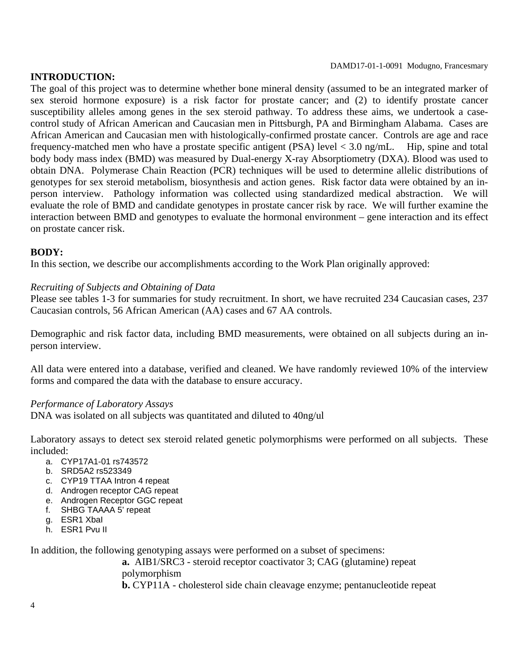#### **INTRODUCTION:**

The goal of this project was to determine whether bone mineral density (assumed to be an integrated marker of sex steroid hormone exposure) is a risk factor for prostate cancer; and (2) to identify prostate cancer susceptibility alleles among genes in the sex steroid pathway. To address these aims, we undertook a casecontrol study of African American and Caucasian men in Pittsburgh, PA and Birmingham Alabama. Cases are African American and Caucasian men with histologically-confirmed prostate cancer. Controls are age and race frequency-matched men who have a prostate specific antigent (PSA) level < 3.0 ng/mL. Hip, spine and total body body mass index (BMD) was measured by Dual-energy X-ray Absorptiometry (DXA). Blood was used to obtain DNA. Polymerase Chain Reaction (PCR) techniques will be used to determine allelic distributions of genotypes for sex steroid metabolism, biosynthesis and action genes. Risk factor data were obtained by an inperson interview. Pathology information was collected using standardized medical abstraction. We will evaluate the role of BMD and candidate genotypes in prostate cancer risk by race. We will further examine the interaction between BMD and genotypes to evaluate the hormonal environment – gene interaction and its effect on prostate cancer risk.

### **BODY:**

In this section, we describe our accomplishments according to the Work Plan originally approved:

### *Recruiting of Subjects and Obtaining of Data*

Please see tables 1-3 for summaries for study recruitment. In short, we have recruited 234 Caucasian cases, 237 Caucasian controls, 56 African American (AA) cases and 67 AA controls.

Demographic and risk factor data, including BMD measurements, were obtained on all subjects during an inperson interview.

All data were entered into a database, verified and cleaned. We have randomly reviewed 10% of the interview forms and compared the data with the database to ensure accuracy.

#### *Performance of Laboratory Assays*

DNA was isolated on all subjects was quantitated and diluted to 40ng/ul

Laboratory assays to detect sex steroid related genetic polymorphisms were performed on all subjects. These included:

- a. CYP17A1-01 rs743572
- b. SRD5A2 rs523349
- c. CYP19 TTAA Intron 4 repeat
- d. Androgen receptor CAG repeat
- e. Androgen Receptor GGC repeat
- f. SHBG TAAAA 5' repeat
- g. ESR1 XbaI
- h. ESR1 Pvu II

In addition, the following genotyping assays were performed on a subset of specimens:

 **a.** AIB1/SRC3 - steroid receptor coactivator 3; CAG (glutamine) repeat polymorphism

**b.** CYP11A - cholesterol side chain cleavage enzyme; pentanucleotide repeat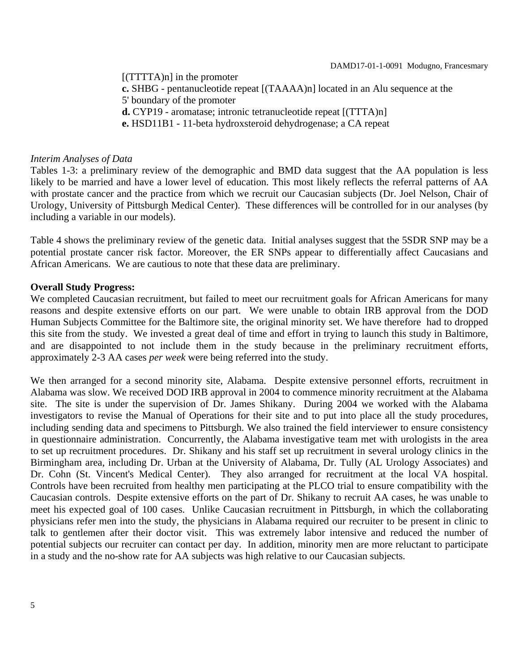[(TTTTA)n] in the promoter **c.** SHBG - pentanucleotide repeat [(TAAAA)n] located in an Alu sequence at the 5' boundary of the promoter **d.** CYP19 - aromatase; intronic tetranucleotide repeat [(TTTA)n] **e.** HSD11B1 - 11-beta hydroxsteroid dehydrogenase; a CA repeat

### *Interim Analyses of Data*

Tables 1-3: a preliminary review of the demographic and BMD data suggest that the AA population is less likely to be married and have a lower level of education. This most likely reflects the referral patterns of AA with prostate cancer and the practice from which we recruit our Caucasian subjects (Dr. Joel Nelson, Chair of Urology, University of Pittsburgh Medical Center). These differences will be controlled for in our analyses (by including a variable in our models).

Table 4 shows the preliminary review of the genetic data. Initial analyses suggest that the 5SDR SNP may be a potential prostate cancer risk factor. Moreover, the ER SNPs appear to differentially affect Caucasians and African Americans. We are cautious to note that these data are preliminary.

### **Overall Study Progress:**

We completed Caucasian recruitment, but failed to meet our recruitment goals for African Americans for many reasons and despite extensive efforts on our part. We were unable to obtain IRB approval from the DOD Human Subjects Committee for the Baltimore site, the original minority set. We have therefore had to dropped this site from the study. We invested a great deal of time and effort in trying to launch this study in Baltimore, and are disappointed to not include them in the study because in the preliminary recruitment efforts, approximately 2-3 AA cases *per week* were being referred into the study.

We then arranged for a second minority site, Alabama. Despite extensive personnel efforts, recruitment in Alabama was slow. We received DOD IRB approval in 2004 to commence minority recruitment at the Alabama site. The site is under the supervision of Dr. James Shikany. During 2004 we worked with the Alabama investigators to revise the Manual of Operations for their site and to put into place all the study procedures, including sending data and specimens to Pittsburgh. We also trained the field interviewer to ensure consistency in questionnaire administration. Concurrently, the Alabama investigative team met with urologists in the area to set up recruitment procedures. Dr. Shikany and his staff set up recruitment in several urology clinics in the Birmingham area, including Dr. Urban at the University of Alabama, Dr. Tully (AL Urology Associates) and Dr. Cohn (St. Vincent's Medical Center). They also arranged for recruitment at the local VA hospital. Controls have been recruited from healthy men participating at the PLCO trial to ensure compatibility with the Caucasian controls. Despite extensive efforts on the part of Dr. Shikany to recruit AA cases, he was unable to meet his expected goal of 100 cases. Unlike Caucasian recruitment in Pittsburgh, in which the collaborating physicians refer men into the study, the physicians in Alabama required our recruiter to be present in clinic to talk to gentlemen after their doctor visit. This was extremely labor intensive and reduced the number of potential subjects our recruiter can contact per day. In addition, minority men are more reluctant to participate in a study and the no-show rate for AA subjects was high relative to our Caucasian subjects.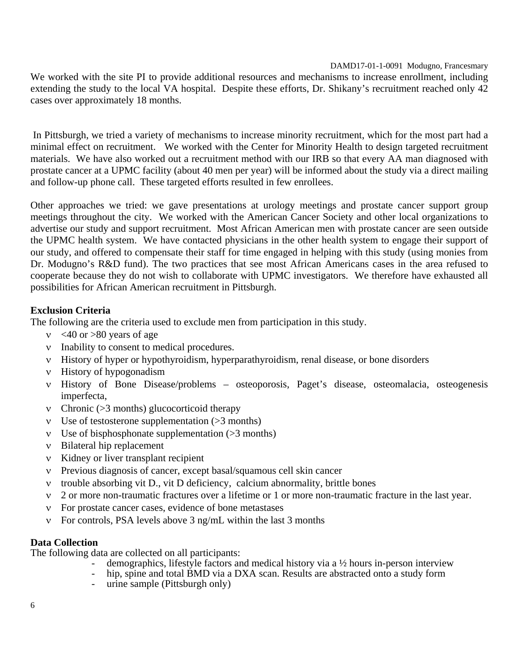We worked with the site PI to provide additional resources and mechanisms to increase enrollment, including extending the study to the local VA hospital. Despite these efforts, Dr. Shikany's recruitment reached only 42 cases over approximately 18 months.

 In Pittsburgh, we tried a variety of mechanisms to increase minority recruitment, which for the most part had a minimal effect on recruitment. We worked with the Center for Minority Health to design targeted recruitment materials. We have also worked out a recruitment method with our IRB so that every AA man diagnosed with prostate cancer at a UPMC facility (about 40 men per year) will be informed about the study via a direct mailing and follow-up phone call. These targeted efforts resulted in few enrollees.

Other approaches we tried: we gave presentations at urology meetings and prostate cancer support group meetings throughout the city. We worked with the American Cancer Society and other local organizations to advertise our study and support recruitment. Most African American men with prostate cancer are seen outside the UPMC health system. We have contacted physicians in the other health system to engage their support of our study, and offered to compensate their staff for time engaged in helping with this study (using monies from Dr. Modugno's R&D fund). The two practices that see most African Americans cases in the area refused to cooperate because they do not wish to collaborate with UPMC investigators. We therefore have exhausted all possibilities for African American recruitment in Pittsburgh.

## **Exclusion Criteria**

The following are the criteria used to exclude men from participation in this study.

- $v \leq 40$  or  $> 80$  years of age
- ν Inability to consent to medical procedures.
- ν History of hyper or hypothyroidism, hyperparathyroidism, renal disease, or bone disorders
- ν History of hypogonadism
- ν History of Bone Disease/problems osteoporosis, Paget's disease, osteomalacia, osteogenesis imperfecta,
- ν Chronic (>3 months) glucocorticoid therapy
- ν Use of testosterone supplementation (>3 months)
- ν Use of bisphosphonate supplementation (>3 months)
- ν Bilateral hip replacement
- ν Kidney or liver transplant recipient
- ν Previous diagnosis of cancer, except basal/squamous cell skin cancer
- ν trouble absorbing vit D., vit D deficiency, calcium abnormality, brittle bones
- ν 2 or more non-traumatic fractures over a lifetime or 1 or more non-traumatic fracture in the last year.
- ν For prostate cancer cases, evidence of bone metastases
- ν For controls, PSA levels above 3 ng/mL within the last 3 months

## **Data Collection**

The following data are collected on all participants:

- demographics, lifestyle factors and medical history via a  $\frac{1}{2}$  hours in-person interview
- hip, spine and total BMD via a DXA scan. Results are abstracted onto a study form
- urine sample (Pittsburgh only)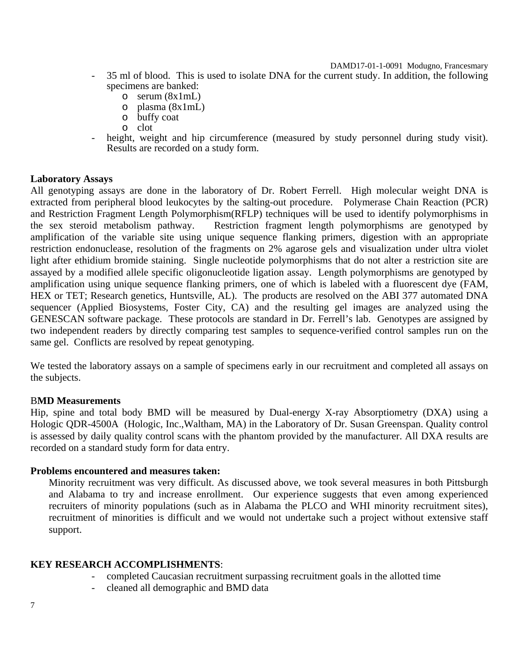- 35 ml of blood. This is used to isolate DNA for the current study. In addition, the following specimens are banked:
	- o serum (8x1mL)
	- $\circ$  plasma (8x1mL)
	- o buffy coat
	- o clot
- height, weight and hip circumference (measured by study personnel during study visit). Results are recorded on a study form.

#### **Laboratory Assays**

All genotyping assays are done in the laboratory of Dr. Robert Ferrell. High molecular weight DNA is extracted from peripheral blood leukocytes by the salting-out procedure. Polymerase Chain Reaction (PCR) and Restriction Fragment Length Polymorphism(RFLP) techniques will be used to identify polymorphisms in the sex steroid metabolism pathway. Restriction fragment length polymorphisms are genotyped by amplification of the variable site using unique sequence flanking primers, digestion with an appropriate restriction endonuclease, resolution of the fragments on 2% agarose gels and visualization under ultra violet light after ethidium bromide staining. Single nucleotide polymorphisms that do not alter a restriction site are assayed by a modified allele specific oligonucleotide ligation assay. Length polymorphisms are genotyped by amplification using unique sequence flanking primers, one of which is labeled with a fluorescent dye (FAM, HEX or TET; Research genetics, Huntsville, AL). The products are resolved on the ABI 377 automated DNA sequencer (Applied Biosystems, Foster City, CA) and the resulting gel images are analyzed using the GENESCAN software package. These protocols are standard in Dr. Ferrell's lab. Genotypes are assigned by two independent readers by directly comparing test samples to sequence-verified control samples run on the same gel. Conflicts are resolved by repeat genotyping.

We tested the laboratory assays on a sample of specimens early in our recruitment and completed all assays on the subjects.

## B**MD Measurements**

Hip, spine and total body BMD will be measured by Dual-energy X-ray Absorptiometry (DXA) using a Hologic QDR-4500A (Hologic, Inc.,Waltham, MA) in the Laboratory of Dr. Susan Greenspan. Quality control is assessed by daily quality control scans with the phantom provided by the manufacturer. All DXA results are recorded on a standard study form for data entry.

#### **Problems encountered and measures taken:**

Minority recruitment was very difficult. As discussed above, we took several measures in both Pittsburgh and Alabama to try and increase enrollment. Our experience suggests that even among experienced recruiters of minority populations (such as in Alabama the PLCO and WHI minority recruitment sites), recruitment of minorities is difficult and we would not undertake such a project without extensive staff support.

## **KEY RESEARCH ACCOMPLISHMENTS**:

- completed Caucasian recruitment surpassing recruitment goals in the allotted time
- cleaned all demographic and BMD data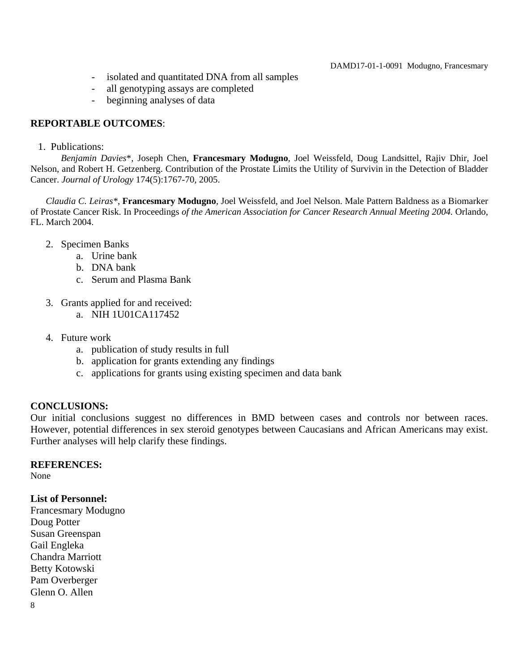- isolated and quantitated DNA from all samples
- all genotyping assays are completed
- beginning analyses of data

## **REPORTABLE OUTCOMES**:

1. Publications:

*Benjamin Davies*\*, Joseph Chen, **Francesmary Modugno**, Joel Weissfeld, Doug Landsittel, Rajiv Dhir, Joel Nelson, and Robert H. Getzenberg. Contribution of the Prostate Limits the Utility of Survivin in the Detection of Bladder Cancer. *Journal of Urology* 174(5):1767-70, 2005.

*Claudia C. Leiras\**, **Francesmary Modugno**, Joel Weissfeld, and Joel Nelson. Male Pattern Baldness as a Biomarker of Prostate Cancer Risk. In Proceedings *of the American Association for Cancer Research Annual Meeting 2004.* Orlando, FL. March 2004.

- 2. Specimen Banks
	- a. Urine bank
	- b. DNA bank
	- c. Serum and Plasma Bank
- 3. Grants applied for and received:
	- a. NIH 1U01CA117452
- 4. Future work
	- a. publication of study results in full
	- b. application for grants extending any findings
	- c. applications for grants using existing specimen and data bank

## **CONCLUSIONS:**

Our initial conclusions suggest no differences in BMD between cases and controls nor between races. However, potential differences in sex steroid genotypes between Caucasians and African Americans may exist. Further analyses will help clarify these findings.

## **REFERENCES:**

None

## **List of Personnel:**

Francesmary Modugno Doug Potter Susan Greenspan Gail Engleka Chandra Marriott Betty Kotowski Pam Overberger Glenn O. Allen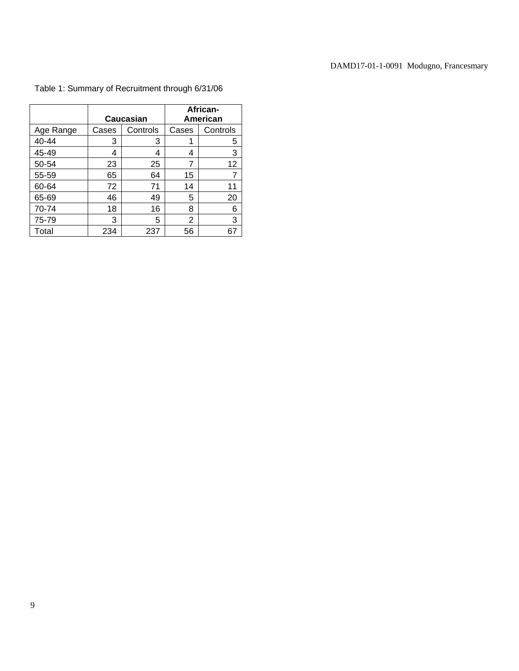|           |       | Caucasian | African-<br>American |          |  |  |
|-----------|-------|-----------|----------------------|----------|--|--|
| Age Range | Cases | Controls  | Cases                | Controls |  |  |
| 40-44     | 3     | 3         |                      | 5        |  |  |
| 45-49     | 4     | 4         | 4                    | 3        |  |  |
| 50-54     | 23    | 25        | 7                    | 12       |  |  |
| 55-59     | 65    | 64        | 15                   | 7        |  |  |
| 60-64     | 72    | 71        | 14                   | 11       |  |  |
| 65-69     | 46    | 49        | 5                    | 20       |  |  |
| 70-74     | 18    | 16        | 8                    | 6        |  |  |
| 75-79     | 3     | 5         | 2                    | 3        |  |  |
| Total     | 234   | 237       | 56                   | 67       |  |  |

## Table 1: Summary of Recruitment through 6/31/06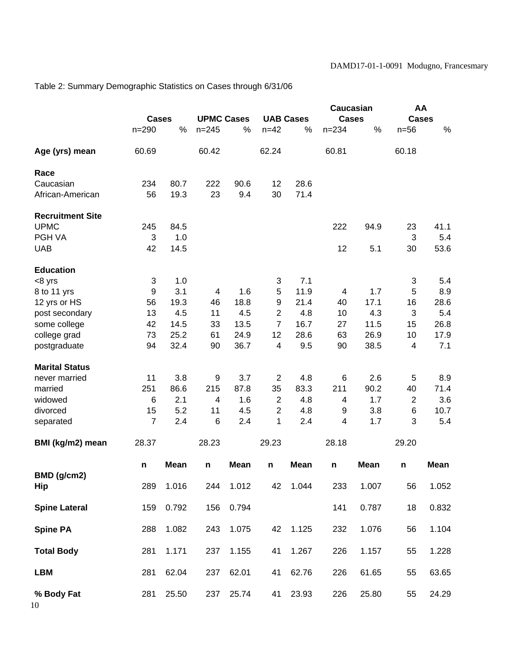Table 2: Summary Demographic Statistics on Cases through 6/31/06

|                         |                |             |                   |             | Caucasian      |                  | AA           |             |                |             |
|-------------------------|----------------|-------------|-------------------|-------------|----------------|------------------|--------------|-------------|----------------|-------------|
|                         | <b>Cases</b>   |             | <b>UPMC Cases</b> |             |                | <b>UAB Cases</b> | <b>Cases</b> |             | <b>Cases</b>   |             |
|                         | $n = 290$      | %           | $n = 245$         | %           | $n = 42$       | %                | $n = 234$    | $\%$        | $n = 56$       | $\%$        |
| Age (yrs) mean          | 60.69          |             | 60.42             |             | 62.24          |                  | 60.81        |             | 60.18          |             |
| Race                    |                |             |                   |             |                |                  |              |             |                |             |
| Caucasian               | 234            | 80.7        | 222               | 90.6        | 12             | 28.6             |              |             |                |             |
| African-American        | 56             | 19.3        | 23                | 9.4         | 30             | 71.4             |              |             |                |             |
| <b>Recruitment Site</b> |                |             |                   |             |                |                  |              |             |                |             |
| <b>UPMC</b>             | 245            | 84.5        |                   |             |                |                  | 222          | 94.9        | 23             | 41.1        |
| PGH VA                  | 3              | 1.0         |                   |             |                |                  |              |             | 3              | 5.4         |
| <b>UAB</b>              | 42             | 14.5        |                   |             |                |                  | 12           | 5.1         | 30             | 53.6        |
| <b>Education</b>        |                |             |                   |             |                |                  |              |             |                |             |
| $<8$ yrs                | 3              | 1.0         |                   |             | 3              | 7.1              |              |             | 3              | 5.4         |
| 8 to 11 yrs             | 9              | 3.1         | 4                 | 1.6         | 5              | 11.9             | 4            | 1.7         | 5              | 8.9         |
| 12 yrs or HS            | 56             | 19.3        | 46                | 18.8        | 9              | 21.4             | 40           | 17.1        | 16             | 28.6        |
| post secondary          | 13             | 4.5         | 11                | 4.5         | $\overline{2}$ | 4.8              | 10           | 4.3         | 3              | 5.4         |
| some college            | 42             | 14.5        | 33                | 13.5        | $\overline{7}$ | 16.7             | 27           | 11.5        | 15             | 26.8        |
| college grad            | 73             | 25.2        | 61                | 24.9        | 12             | 28.6             | 63           | 26.9        | 10             | 17.9        |
| postgraduate            | 94             | 32.4        | 90                | 36.7        | $\overline{4}$ | 9.5              | 90           | 38.5        | $\overline{4}$ | 7.1         |
| <b>Marital Status</b>   |                |             |                   |             |                |                  |              |             |                |             |
| never married           | 11             | 3.8         | 9                 | 3.7         | $\overline{2}$ | 4.8              | 6            | 2.6         | 5              | 8.9         |
| married                 | 251            | 86.6        | 215               | 87.8        | 35             | 83.3             | 211          | 90.2        | 40             | 71.4        |
| widowed                 | 6              | 2.1         | 4                 | 1.6         | $\overline{2}$ | 4.8              | 4            | 1.7         | $\overline{2}$ | 3.6         |
| divorced                | 15             | 5.2         | 11                | 4.5         | $\overline{2}$ | 4.8              | 9            | 3.8         | 6              | 10.7        |
| separated               | $\overline{7}$ | 2.4         | 6                 | 2.4         | 1              | 2.4              | 4            | 1.7         | 3              | 5.4         |
| BMI (kg/m2) mean        | 28.37          |             | 28.23             |             | 29.23          |                  | 28.18        |             | 29.20          |             |
|                         | n              | <b>Mean</b> | n                 | <b>Mean</b> | n              | <b>Mean</b>      | n            | <b>Mean</b> | n              | <b>Mean</b> |
| BMD (g/cm2)<br>Hip      | 289            | 1.016       | 244               | 1.012       | 42             | 1.044            | 233          | 1.007       | 56             | 1.052       |
| <b>Spine Lateral</b>    | 159            | 0.792       | 156               | 0.794       |                |                  | 141          | 0.787       | 18             | 0.832       |
| <b>Spine PA</b>         | 288            | 1.082       | 243               | 1.075       | 42             | 1.125            | 232          | 1.076       | 56             | 1.104       |
| <b>Total Body</b>       | 281            | 1.171       | 237               | 1.155       | 41             | 1.267            | 226          | 1.157       | 55             | 1.228       |
| <b>LBM</b>              | 281            | 62.04       | 237               | 62.01       | 41             | 62.76            | 226          | 61.65       | 55             | 63.65       |
| % Body Fat<br>10        | 281            | 25.50       | 237               | 25.74       | 41             | 23.93            | 226          | 25.80       | 55             | 24.29       |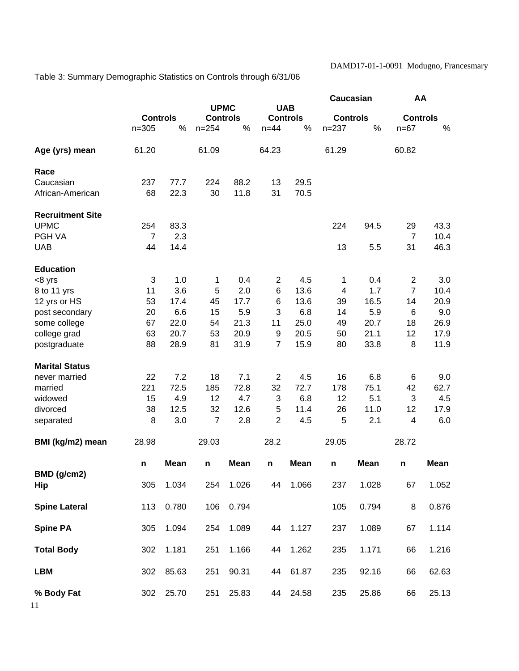Table 3: Summary Demographic Statistics on Controls through 6/31/06

|                         | <b>Controls</b> |             | <b>UPMC</b>     |             | <b>UAB</b>     |                 | Caucasian       |             | AA              |             |
|-------------------------|-----------------|-------------|-----------------|-------------|----------------|-----------------|-----------------|-------------|-----------------|-------------|
|                         |                 |             | <b>Controls</b> |             |                | <b>Controls</b> | <b>Controls</b> |             | <b>Controls</b> |             |
|                         | $n = 305$       | %           | $n = 254$       | %           | $n=44$         | %               | $n = 237$       | %           | $n=67$          | $\%$        |
|                         |                 |             |                 |             |                |                 |                 |             |                 |             |
| Age (yrs) mean          | 61.20           |             | 61.09           |             | 64.23          |                 | 61.29           |             | 60.82           |             |
| Race                    |                 |             |                 |             |                |                 |                 |             |                 |             |
| Caucasian               | 237             | 77.7        | 224             | 88.2        | 13             | 29.5            |                 |             |                 |             |
| African-American        | 68              | 22.3        | 30              | 11.8        | 31             | 70.5            |                 |             |                 |             |
| <b>Recruitment Site</b> |                 |             |                 |             |                |                 |                 |             |                 |             |
| <b>UPMC</b>             | 254             | 83.3        |                 |             |                |                 | 224             | 94.5        | 29              | 43.3        |
| PGH VA                  | $\overline{7}$  | 2.3         |                 |             |                |                 |                 |             | $\overline{7}$  | 10.4        |
| <b>UAB</b>              | 44              | 14.4        |                 |             |                |                 | 13              | 5.5         | 31              | 46.3        |
| <b>Education</b>        |                 |             |                 |             |                |                 |                 |             |                 |             |
| <8 yrs                  | 3               | 1.0         | 1               | 0.4         | $\overline{2}$ | 4.5             | 1               | 0.4         | $\overline{c}$  | 3.0         |
| 8 to 11 yrs             | 11              | 3.6         | 5               | 2.0         | 6              | 13.6            | $\overline{4}$  | 1.7         | $\overline{7}$  | 10.4        |
| 12 yrs or HS            | 53              | 17.4        | 45              | 17.7        | 6              | 13.6            | 39              | 16.5        | 14              | 20.9        |
| post secondary          | 20              | 6.6         | 15              | 5.9         | 3              | 6.8             | 14              | 5.9         | 6               | 9.0         |
| some college            | 67              | 22.0        | 54              | 21.3        | 11             | 25.0            | 49              | 20.7        | 18              | 26.9        |
| college grad            | 63              | 20.7        | 53              | 20.9        | 9              | 20.5            | 50              | 21.1        | 12              | 17.9        |
| postgraduate            | 88              | 28.9        | 81              | 31.9        | $\overline{7}$ | 15.9            | 80              | 33.8        | 8               | 11.9        |
| <b>Marital Status</b>   |                 |             |                 |             |                |                 |                 |             |                 |             |
| never married           | 22              | 7.2         | 18              | 7.1         | $\overline{2}$ | 4.5             | 16              | 6.8         | 6               | 9.0         |
| married                 | 221             | 72.5        | 185             | 72.8        | 32             | 72.7            | 178             | 75.1        | 42              | 62.7        |
| widowed                 | 15              | 4.9         | 12              | 4.7         | 3              | 6.8             | 12              | 5.1         | 3               | 4.5         |
| divorced                | 38              | 12.5        | 32              | 12.6        | 5              | 11.4            | 26              | 11.0        | 12              | 17.9        |
| separated               | 8               | 3.0         | 7               | 2.8         | $\overline{2}$ | 4.5             | 5               | 2.1         | $\overline{4}$  | 6.0         |
| BMI (kg/m2) mean        | 28.98           |             | 29.03           |             | 28.2           |                 | 29.05           |             | 28.72           |             |
|                         | n               | <b>Mean</b> | n               | <b>Mean</b> | n              | <b>Mean</b>     | n               | <b>Mean</b> | n               | <b>Mean</b> |
| BMD (g/cm2)             |                 |             |                 |             |                |                 |                 |             |                 |             |
| Hip                     | 305             | 1.034       | 254             | 1.026       | 44             | 1.066           | 237             | 1.028       | 67              | 1.052       |
| <b>Spine Lateral</b>    | 113             | 0.780       | 106             | 0.794       |                |                 | 105             | 0.794       | 8               | 0.876       |
| <b>Spine PA</b>         | 305             | 1.094       | 254             | 1.089       | 44             | 1.127           | 237             | 1.089       | 67              | 1.114       |
| <b>Total Body</b>       | 302             | 1.181       | 251             | 1.166       | 44             | 1.262           | 235             | 1.171       | 66              | 1.216       |
| <b>LBM</b>              | 302             | 85.63       | 251             | 90.31       | 44             | 61.87           | 235             | 92.16       | 66              | 62.63       |
| % Body Fat              | 302             | 25.70       | 251             | 25.83       | 44             | 24.58           | 235             | 25.86       | 66              | 25.13       |
| 11                      |                 |             |                 |             |                |                 |                 |             |                 |             |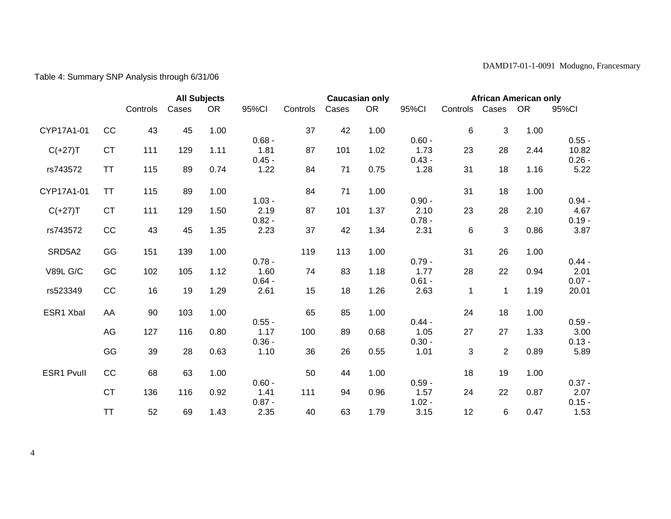# Table 4: Summary SNP Analysis through 6/31/06

|                 |           |          |       | <b>All Subjects</b> |                  | <b>Caucasian only</b> |       |           |                  | <b>African American only</b> |                |           |                   |
|-----------------|-----------|----------|-------|---------------------|------------------|-----------------------|-------|-----------|------------------|------------------------------|----------------|-----------|-------------------|
|                 |           | Controls | Cases | <b>OR</b>           | 95%CI            | Controls              | Cases | <b>OR</b> | 95%CI            | Controls Cases               |                | <b>OR</b> | 95%CI             |
| CYP17A1-01      | CC        | 43       | 45    | 1.00                |                  | 37                    | 42    | 1.00      |                  | 6                            | 3              | 1.00      |                   |
| $C(+27)T$       | <b>CT</b> | 111      | 129   | 1.11                | $0.68 -$<br>1.81 | 87                    | 101   | 1.02      | $0.60 -$<br>1.73 | 23                           | 28             | 2.44      | $0.55 -$<br>10.82 |
| rs743572        | <b>TT</b> | 115      | 89    | 0.74                | $0.45 -$<br>1.22 | 84                    | 71    | 0.75      | $0.43 -$<br>1.28 | 31                           | 18             | 1.16      | $0.26 -$<br>5.22  |
| CYP17A1-01      | <b>TT</b> | 115      | 89    | 1.00                |                  | 84                    | 71    | 1.00      |                  | 31                           | 18             | 1.00      |                   |
|                 |           |          |       |                     | $1.03 -$         |                       |       |           | $0.90 -$         |                              |                |           | $0.94 -$          |
| $C(+27)T$       | <b>CT</b> | 111      | 129   | 1.50                | 2.19<br>$0.82 -$ | 87                    | 101   | 1.37      | 2.10<br>$0.78 -$ | 23                           | 28             | 2.10      | 4.67<br>$0.19 -$  |
| rs743572        | CC        | 43       | 45    | 1.35                | 2.23             | 37                    | 42    | 1.34      | 2.31             | 6                            | 3              | 0.86      | 3.87              |
| SRD5A2          | GG        | 151      | 139   | 1.00                |                  | 119                   | 113   | 1.00      |                  | 31                           | 26             | 1.00      |                   |
|                 |           |          |       |                     | $0.78 -$         |                       |       |           | $0.79 -$         |                              |                |           | $0.44 -$          |
| <b>V89L G/C</b> | GC        | 102      | 105   | 1.12                | 1.60<br>$0.64 -$ | 74                    | 83    | 1.18      | 1.77<br>$0.61 -$ | 28                           | 22             | 0.94      | 2.01<br>$0.07 -$  |
| rs523349        | CC        | 16       | 19    | 1.29                | 2.61             | 15                    | 18    | 1.26      | 2.63             | $\mathbf 1$                  | $\mathbf{1}$   | 1.19      | 20.01             |
| ESR1 Xbal       | AA        | 90       | 103   | 1.00                |                  | 65                    | 85    | 1.00      |                  | 24                           | 18             | 1.00      |                   |
|                 |           |          |       |                     | $0.55 -$         |                       |       |           | $0.44 -$         |                              |                |           | $0.59 -$          |
|                 | AG        | 127      | 116   | 0.80                | 1.17<br>$0.36 -$ | 100                   | 89    | 0.68      | 1.05<br>$0.30 -$ | 27                           | 27             | 1.33      | 3.00<br>$0.13 -$  |
|                 | GG        | 39       | 28    | 0.63                | 1.10             | 36                    | 26    | 0.55      | 1.01             | 3                            | $\overline{2}$ | 0.89      | 5.89              |
| ESR1 Pvull      | CC        | 68       | 63    | 1.00                |                  | 50                    | 44    | 1.00      |                  | 18                           | 19             | 1.00      |                   |
|                 |           |          |       |                     | $0.60 -$         |                       |       |           | $0.59 -$         |                              |                |           | $0.37 -$          |
|                 | <b>CT</b> | 136      | 116   | 0.92                | 1.41<br>$0.87 -$ | 111                   | 94    | 0.96      | 1.57<br>$1.02 -$ | 24                           | 22             | 0.87      | 2.07<br>$0.15 -$  |
|                 | <b>TT</b> | 52       | 69    | 1.43                | 2.35             | 40                    | 63    | 1.79      | 3.15             | 12                           | 6              | 0.47      | 1.53              |